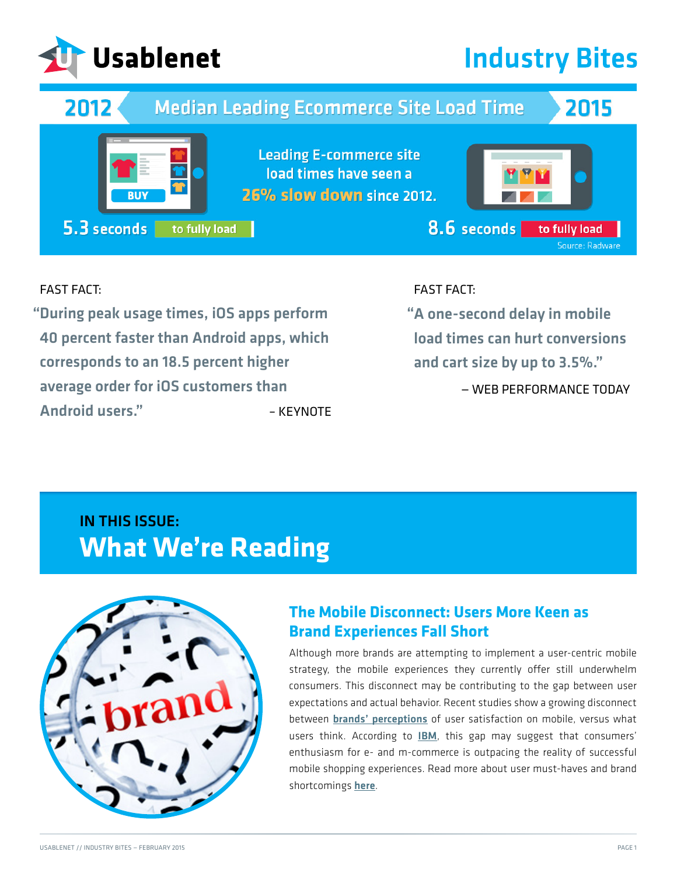

# **Industry Bites**



#### FAST FACT:

During peak usage times, iOS apps perform " " 40 percent faster than Android apps, which corresponds to an 18.5 percent higher average order for iOS customers than Android users." – KEYNOTE

### FAST FACT:

A one-second delay in mobile load times can hurt conversions and cart size by up to 3.5%."

— WEB PERFORMANCE TODAY

## IN THIS ISSUE: **What We're Reading**



### **The Mobile Disconnect: Users More Keen as Brand Experiences Fall Short**

Although more brands are attempting to implement a user-centric mobile strategy, the mobile experiences they currently offer still underwhelm consumers. This disconnect may be contributing to the gap between user expectations and actual behavior. Recent studies show a growing disconnect between [brands' perceptions](http://www.baselinemag.com/mobility/slideshows/execs-clueless-about-mobile-customer-experiences.html?mkt_tok=3RkMMJWWfF9wsRoksq3NZKXonjHpfsX57%2BkpWK%2B%2BlMI%2F0ER3fOvrPUfGjI4DScdiI%2BSLDwEYGJlv6SgFTLTBMbJ60rgEXRg%3D) of user satisfaction on mobile, versus what users think. According to **[IBM](http://www-935.ibm.com/services/us/gbs/thoughtleadership/shoppersdisrupted/?mkt_tok=3RkMMJWWfF9wsRoksq3NZKXonjHpfsX57%2BkpWK%2B%2BlMI%2F0ER3fOvrPUfGjI4DScdiI%2BSLDwEYGJlv6SgFTLTBMbJ60rgEXRg%3D)**, this gap may suggest that consumers' enthusiasm for e- and m-commerce is outpacing the reality of successful mobile shopping experiences. Read more about user must-haves and brand shortcomings [here](http://www.bizreport.com/2015/01/consumers-say-they-prefer-to-shop-online-but-do-they.html?mkt_tok=3RkMMJWWfF9wsRoksq3NZKXonjHpfsX57%2BkpWK%2B%2BlMI%2F0ER3fOvrPUfGjI4DScdiI%2BSLDwEYGJlv6SgFTLTBMbJ60rgEXRg%3D).